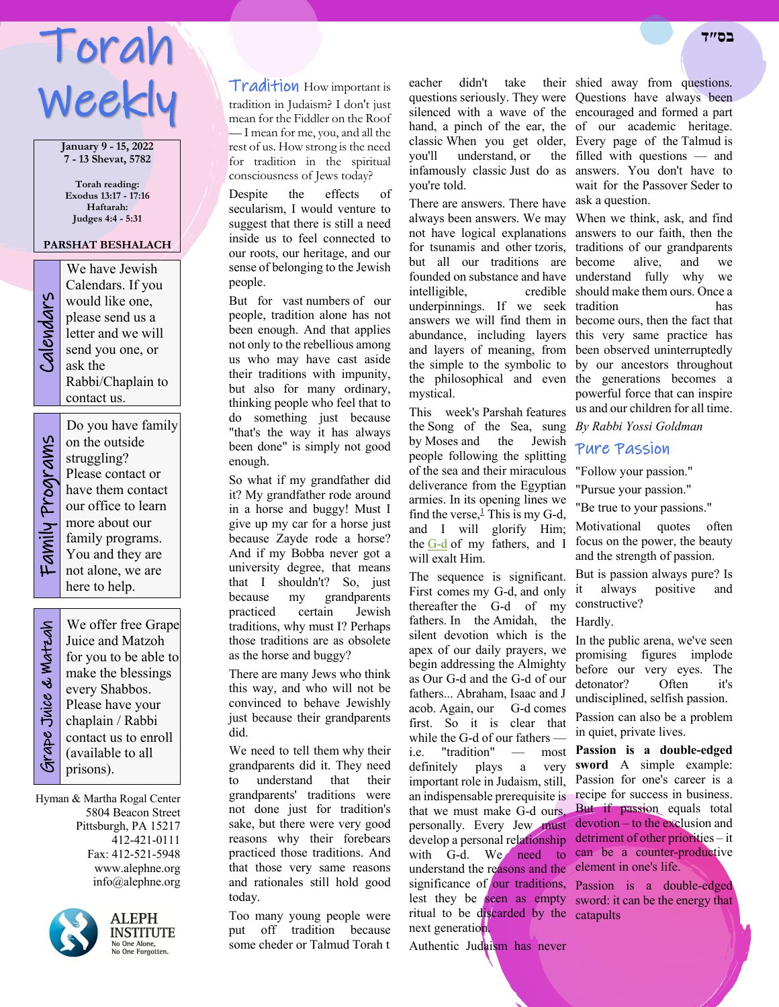# Torah Weekly

**January 9 - 15, 2022 7 - 13 Shevat, 5782**

**Torah reading: Exodus 13:17 - 17:16 Haftarah: Judges 4:4 - 5:31**

#### **PARSHAT BESHALACH**

We have Jewish<br>Calendars. If you<br>would like one,<br>please send us a<br>letter and we will<br>send you one, or<br>ask the Calendars. If you would like one, please send us a letter and we will send you one, or ask the Rabbi/Chaplain to contact us.

Family Programs Family Programs

on the outside struggling? Please contact or have them contact our office to learn more about our family programs. You and they are not alone, we are here to help.

Do you have family

 Grape Juice & Matzah **Strape Juice & Watzah** 

We offer free Grape Juice and Matzoh for you to be able to make the blessings every Shabbos. Please have your chaplain / Rabbi contact us to enroll (available to all prisons).

Hyman & Martha Rogal Center 5804 Beacon Street Pittsburgh, PA 15217 412-421-0111 Fax: 412-521-5948 www.alephne.org info@alephne.org



**ALEPH** INSTITUTE No One Alone,<br>No One Forgotten.

Tradition How important is tradition in Judaism? I don't just mean for the Fiddler on the Roof — I mean for me, you, and all the rest of us. How strong is the need for tradition in the spiritual consciousness of Jews today?

Despite the effects of secularism, I would venture to suggest that there is still a need inside us to feel connected to our roots, our heritage, and our sense of belonging to the Jewish people.

But for vast numbers of our people, tradition alone has not been enough. And that applies not only to the rebellious among us who may have cast aside their traditions with impunity, but also for many ordinary, thinking people who feel that to do something just because "that's the way it has always been done" is simply not good enough.

So what if my grandfather did it? My grandfather rode around in a horse and buggy! Must I give up my car for a horse just because Zayde rode a horse? And if my Bobba never got a university degree, that means that I shouldn't? So, just because my grandparents practiced certain Jewish traditions, why must I? Perhaps those traditions are as obsolete as the horse and buggy?

There are many Jews who think this way, and who will not be convinced to behave Jewishly just because their grandparents did.

We need to tell them why their grandparents did it. They need to understand that their grandparents' traditions were not done just for tradition's sake, but there were very good reasons why their forebears practiced those traditions. And that those very same reasons and rationales still hold good today.

Too many young people were put off tradition because some cheder or Talmud Torah t

eacher didn't take their shied away from questions. you'll understand, or you're told.

There are answers. There have ask a question. always been answers. We may When we think, ask, and find not have logical explanations answers to our faith, then the for tsunamis and other tzoris, traditions of our grandparents but all our traditions are become alive, and we founded on substance and have understand fully why we intelligible. underpinnings. If we seek tradition has answers we will find them in become ours, then the fact that abundance, including layers this very same practice has and layers of meaning, from been observed uninterruptedly the simple to the symbolic to by our ancestors throughout the philosophical and even the generations becomes a mystical.

This week's Parshah features the Song of the Sea, sung *By Rabbi Yossi Goldman* by Moses and the Jewish people following the splitting of the sea and their miraculous deliverance from the Egyptian armies. In its opening lines we find the verse, $\frac{1}{2}$  This is my G-d, and I will glorify Him; the G-d of my fathers, and I will exalt Him.

The sequence is significant. First comes my G-d, and only thereafter the G-d of my fathers. In the Amidah, the Hardly. silent devotion which is the apex of our daily prayers, we begin addressing the Almighty as Our G-d and the G-d of our fathers... Abraham, Isaac and J acob. Again, our G-d comes first. So it is clear that while the G-d of our fathers i.e. "tradition" definitely plays a very important role in Judaism, still, Passion for one's career is a an indispensable prerequisite is recipe for success in business. that we must make G-d ours, But if passion equals total personally. Every Jew must develop a personal relationship with G-d. We need to can be a counter-productive understand the reasons and the element in one's life. significance of our traditions, Passion is a double-edged lest they be seen as empty sword: it can be the energy that ritual to be discarded by the catapults next generation.

Authentic Judaism has never

questions seriously. They were Questions have always been silenced with a wave of the encouraged and formed a part hand, a pinch of the ear, the of our academic heritage. classic When you get older, Every page of the Talmud is infamously classic Just do as answers. You don't have to filled with questions — and wait for the Passover Seder to

> should make them ours. Once a powerful force that can inspire us and our children for all time.

## Pure Passion

"Follow your passion."

"Pursue your passion."

"Be true to your passions."

Motivational quotes often focus on the power, the beauty and the strength of passion.

But is passion always pure? Is it always positive and constructive?

In the public arena, we've seen promising figures implode before our very eyes. The detonator? Often it's undisciplined, selfish passion.

Passion can also be a problem in quiet, private lives.

**Passion is a double-edged sword** A simple example: devotion – to the exclusion and detriment of other priorities – it